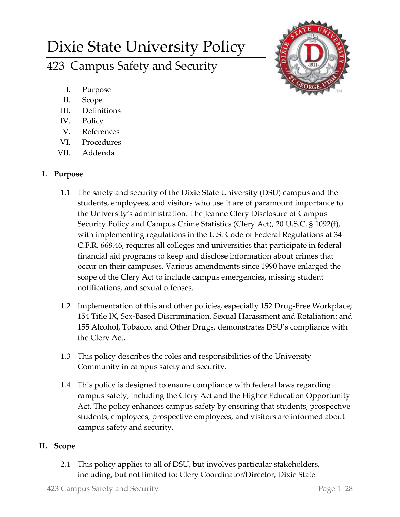# Dixie State University Policy

423 Campus Safety and Security



- I. Purpose
- II. Scope
- III. Definitions
- IV. Policy
- V. References
- VI. Procedures
- VII. Addenda

# **I. Purpose**

- 1.1 The safety and security of the Dixie State University (DSU) campus and the students, employees, and visitors who use it are of paramount importance to the University's administration. The Jeanne Clery Disclosure of Campus Security Policy and Campus Crime Statistics (Clery Act), 20 U.S.C. § 1092(f), with implementing regulations in the U.S. Code of Federal Regulations at 34 C.F.R. 668.46, requires all colleges and universities that participate in federal financial aid programs to keep and disclose information about crimes that occur on their campuses. Various amendments since 1990 have enlarged the scope of the Clery Act to include campus emergencies, missing student notifications, and sexual offenses.
- 1.2 Implementation of this and other policies, especially 152 Drug-Free Workplace; 154 Title IX, Sex-Based Discrimination, Sexual Harassment and Retaliation; and 155 Alcohol, Tobacco, and Other Drugs, demonstrates DSU's compliance with the Clery Act.
- 1.3 This policy describes the roles and responsibilities of the University Community in campus safety and security.
- 1.4 This policy is designed to ensure compliance with federal laws regarding campus safety, including the Clery Act and the Higher Education Opportunity Act. The policy enhances campus safety by ensuring that students, prospective students, employees, prospective employees, and visitors are informed about campus safety and security.

# **II. Scope**

2.1 This policy applies to all of DSU, but involves particular stakeholders, including, but not limited to: Clery Coordinator/Director, Dixie State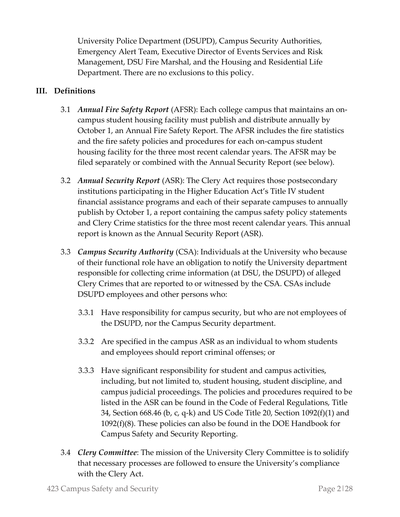University Police Department (DSUPD), Campus Security Authorities, Emergency Alert Team, Executive Director of Events Services and Risk Management, DSU Fire Marshal, and the Housing and Residential Life Department. There are no exclusions to this policy.

## **III. Definitions**

- 3.1 *Annual Fire Safety Report* (AFSR): Each college campus that maintains an oncampus student housing facility must publish and distribute annually by October 1, an Annual Fire Safety Report. The AFSR includes the fire statistics and the fire safety policies and procedures for each on-campus student housing facility for the three most recent calendar years. The AFSR may be filed separately or combined with the Annual Security Report (see below).
- 3.2 *Annual Security Report* (ASR): The Clery Act requires those postsecondary institutions participating in the Higher Education Act's Title IV student financial assistance programs and each of their separate campuses to annually publish by October 1, a report containing the campus safety policy statements and Clery Crime statistics for the three most recent calendar years. This annual report is known as the Annual Security Report (ASR).
- 3.3 *Campus Security Authority* (CSA): Individuals at the University who because of their functional role have an obligation to notify the University department responsible for collecting crime information (at DSU, the DSUPD) of alleged Clery Crimes that are reported to or witnessed by the CSA. CSAs include DSUPD employees and other persons who:
	- 3.3.1 Have responsibility for campus security, but who are not employees of the DSUPD, nor the Campus Security department.
	- 3.3.2 Are specified in the campus ASR as an individual to whom students and employees should report criminal offenses; or
	- 3.3.3 Have significant responsibility for student and campus activities, including, but not limited to, student housing, student discipline, and campus judicial proceedings. The policies and procedures required to be listed in the ASR can be found in the Code of Federal Regulations, Title 34, Section 668.46 (b, c, q-k) and US Code Title 20, Section 1092(f)(1) and 1092(f)(8). These policies can also be found in the DOE Handbook for Campus Safety and Security Reporting.
- 3.4 *Clery Committee*: The mission of the University Clery Committee is to solidify that necessary processes are followed to ensure the University's compliance with the Clery Act.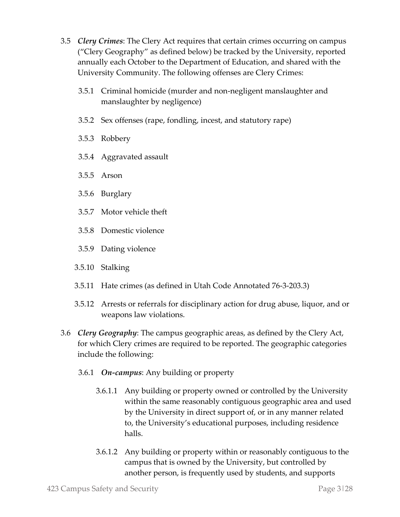- 3.5 *Clery Crimes*: The Clery Act requires that certain crimes occurring on campus ("Clery Geography" as defined below) be tracked by the University, reported annually each October to the Department of Education, and shared with the University Community. The following offenses are Clery Crimes:
	- 3.5.1 Criminal homicide (murder and non-negligent manslaughter and manslaughter by negligence)
	- 3.5.2 Sex offenses (rape, fondling, incest, and statutory rape)
	- 3.5.3 Robbery
	- 3.5.4 Aggravated assault
	- 3.5.5 Arson
	- 3.5.6 Burglary
	- 3.5.7 Motor vehicle theft
	- 3.5.8 Domestic violence
	- 3.5.9 Dating violence
	- 3.5.10 Stalking
	- 3.5.11 Hate crimes (as defined in Utah Code Annotated 76-3-203.3)
	- 3.5.12 Arrests or referrals for disciplinary action for drug abuse, liquor, and or weapons law violations.
- 3.6 *Clery Geography*: The campus geographic areas, as defined by the Clery Act, for which Clery crimes are required to be reported. The geographic categories include the following:
	- 3.6.1 *On-campus*: Any building or property
		- 3.6.1.1 Any building or property owned or controlled by the University within the same reasonably contiguous geographic area and used by the University in direct support of, or in any manner related to, the University's educational purposes, including residence halls.
		- 3.6.1.2 Any building or property within or reasonably contiguous to the campus that is owned by the University, but controlled by another person, is frequently used by students, and supports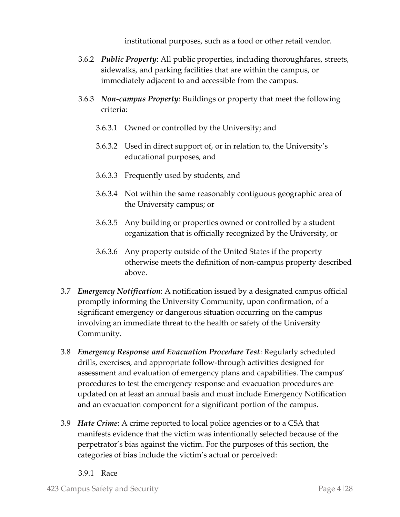institutional purposes, such as a food or other retail vendor.

- 3.6.2 *Public Property*: All public properties, including thoroughfares, streets, sidewalks, and parking facilities that are within the campus, or immediately adjacent to and accessible from the campus.
- 3.6.3 *Non-campus Property*: Buildings or property that meet the following criteria:
	- 3.6.3.1 Owned or controlled by the University; and
	- 3.6.3.2 Used in direct support of, or in relation to, the University's educational purposes, and
	- 3.6.3.3 Frequently used by students, and
	- 3.6.3.4 Not within the same reasonably contiguous geographic area of the University campus; or
	- 3.6.3.5 Any building or properties owned or controlled by a student organization that is officially recognized by the University, or
	- 3.6.3.6 Any property outside of the United States if the property otherwise meets the definition of non-campus property described above.
- 3.7 *Emergency Notification*: A notification issued by a designated campus official promptly informing the University Community, upon confirmation, of a significant emergency or dangerous situation occurring on the campus involving an immediate threat to the health or safety of the University Community.
- 3.8 *Emergency Response and Evacuation Procedure Test*: Regularly scheduled drills, exercises, and appropriate follow-through activities designed for assessment and evaluation of emergency plans and capabilities. The campus' procedures to test the emergency response and evacuation procedures are updated on at least an annual basis and must include Emergency Notification and an evacuation component for a significant portion of the campus.
- 3.9 *Hate Crime*: A crime reported to local police agencies or to a CSA that manifests evidence that the victim was intentionally selected because of the perpetrator's bias against the victim. For the purposes of this section, the categories of bias include the victim's actual or perceived:
	- 3.9.1 Race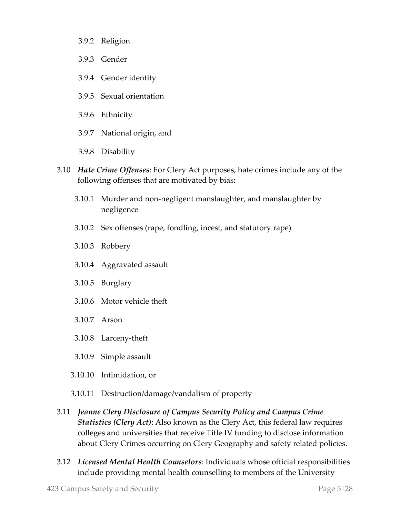- 3.9.2 Religion
- 3.9.3 Gender
- 3.9.4 Gender identity
- 3.9.5 Sexual orientation
- 3.9.6 Ethnicity
- 3.9.7 National origin, and
- 3.9.8 Disability
- 3.10 *Hate Crime Offenses*: For Clery Act purposes, hate crimes include any of the following offenses that are motivated by bias:
	- 3.10.1 Murder and non-negligent manslaughter, and manslaughter by negligence
	- 3.10.2 Sex offenses (rape, fondling, incest, and statutory rape)
	- 3.10.3 Robbery
	- 3.10.4 Aggravated assault
	- 3.10.5 Burglary
	- 3.10.6 Motor vehicle theft
	- 3.10.7 Arson
	- 3.10.8 Larceny-theft
	- 3.10.9 Simple assault
	- 3.10.10 Intimidation, or
	- 3.10.11 Destruction/damage/vandalism of property
- 3.11 *Jeanne Clery Disclosure of Campus Security Policy and Campus Crime Statistics (Clery Act)*: Also known as the Clery Act, this federal law requires colleges and universities that receive Title IV funding to disclose information about Clery Crimes occurring on Clery Geography and safety related policies.
- 3.12 *Licensed Mental Health Counselors*: Individuals whose official responsibilities include providing mental health counselling to members of the University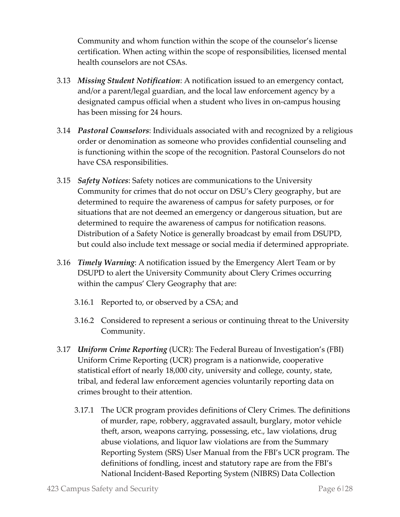Community and whom function within the scope of the counselor's license certification. When acting within the scope of responsibilities, licensed mental health counselors are not CSAs.

- 3.13 *Missing Student Notification*: A notification issued to an emergency contact, and/or a parent/legal guardian, and the local law enforcement agency by a designated campus official when a student who lives in on-campus housing has been missing for 24 hours.
- 3.14 *Pastoral Counselors*: Individuals associated with and recognized by a religious order or denomination as someone who provides confidential counseling and is functioning within the scope of the recognition. Pastoral Counselors do not have CSA responsibilities.
- 3.15 *Safety Notices*: Safety notices are communications to the University Community for crimes that do not occur on DSU's Clery geography, but are determined to require the awareness of campus for safety purposes, or for situations that are not deemed an emergency or dangerous situation, but are determined to require the awareness of campus for notification reasons. Distribution of a Safety Notice is generally broadcast by email from DSUPD, but could also include text message or social media if determined appropriate.
- 3.16 *Timely Warning*: A notification issued by the Emergency Alert Team or by DSUPD to alert the University Community about Clery Crimes occurring within the campus' Clery Geography that are:
	- 3.16.1 Reported to, or observed by a CSA; and
	- 3.16.2 Considered to represent a serious or continuing threat to the University Community.
- 3.17 *Uniform Crime Reporting* (UCR): The Federal Bureau of Investigation's (FBI) Uniform Crime Reporting (UCR) program is a nationwide, cooperative statistical effort of nearly 18,000 city, university and college, county, state, tribal, and federal law enforcement agencies voluntarily reporting data on crimes brought to their attention.
	- 3.17.1 The UCR program provides definitions of Clery Crimes. The definitions of murder, rape, robbery, aggravated assault, burglary, motor vehicle theft, arson, weapons carrying, possessing, etc., law violations, drug abuse violations, and liquor law violations are from the Summary Reporting System (SRS) User Manual from the FBI's UCR program. The definitions of fondling, incest and statutory rape are from the FBI's National Incident-Based Reporting System (NIBRS) Data Collection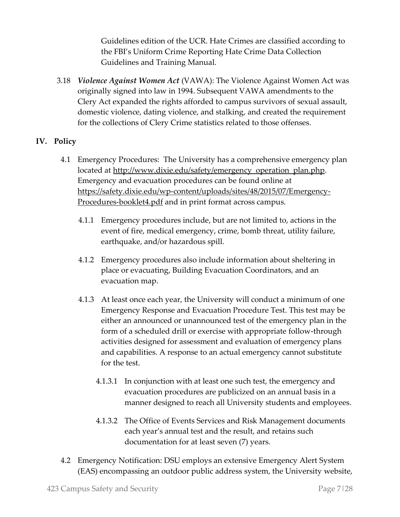Guidelines edition of the UCR. Hate Crimes are classified according to the FBI's Uniform Crime Reporting Hate Crime Data Collection Guidelines and Training Manual.

3.18 *Violence Against Women Act* (VAWA): The Violence Against Women Act was originally signed into law in 1994. Subsequent VAWA amendments to the Clery Act expanded the rights afforded to campus survivors of sexual assault, domestic violence, dating violence, and stalking, and created the requirement for the collections of Clery Crime statistics related to those offenses.

## **IV. Policy**

- 4.1 Emergency Procedures: The University has a comprehensive emergency plan located at [http://www.dixie.edu/safety/emergency\\_operation\\_plan.php.](http://www.dixie.edu/safety/emergency_operation_plan.php) Emergency and evacuation procedures can be found online at [https://safety.dixie.edu/wp-content/uploads/sites/48/2015/07/Emergency-](https://safety.dixie.edu/wp-content/uploads/sites/48/2015/07/Emergency-Procedures-booklet4.pdf)[Procedures-booklet4.pdf](https://safety.dixie.edu/wp-content/uploads/sites/48/2015/07/Emergency-Procedures-booklet4.pdf) and in print format across campus.
	- 4.1.1 Emergency procedures include, but are not limited to, actions in the event of fire, medical emergency, crime, bomb threat, utility failure, earthquake, and/or hazardous spill.
	- 4.1.2 Emergency procedures also include information about sheltering in place or evacuating, Building Evacuation Coordinators, and an evacuation map.
	- 4.1.3 At least once each year, the University will conduct a minimum of one Emergency Response and Evacuation Procedure Test. This test may be either an announced or unannounced test of the emergency plan in the form of a scheduled drill or exercise with appropriate follow-through activities designed for assessment and evaluation of emergency plans and capabilities. A response to an actual emergency cannot substitute for the test.
		- 4.1.3.1 In conjunction with at least one such test, the emergency and evacuation procedures are publicized on an annual basis in a manner designed to reach all University students and employees.
		- 4.1.3.2 The Office of Events Services and Risk Management documents each year's annual test and the result, and retains such documentation for at least seven (7) years.
- 4.2 Emergency Notification: DSU employs an extensive Emergency Alert System (EAS) encompassing an outdoor public address system, the University website,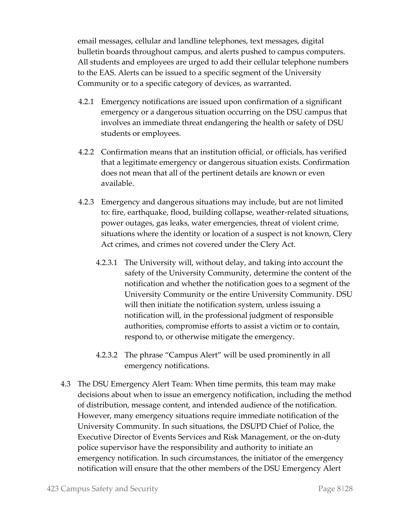email messages, cellular and landline telephones, text messages, digital bulletin boards throughout campus, and alerts pushed to campus computers. All students and employees are urged to add their cellular telephone numbers to the EAS. Alerts can be issued to a specific segment of the University Community or to a specific category of devices, as warranted.

- 4.2.1 Emergency notifications are issued upon confirmation of a significant emergency or a dangerous situation occurring on the DSU campus that involves an immediate threat endangering the health or safety of DSU students or employees.
- 4.2.2 Confirmation means that an institution official, or officials, has verified that a legitimate emergency or dangerous situation exists. Confirmation does not mean that all of the pertinent details are known or even available.
- 4.2.3 Emergency and dangerous situations may include, but are not limited to: fire, earthquake, flood, building collapse, weather-related situations, power outages, gas leaks, water emergencies, threat of violent crime, situations where the identity or location of a suspect is not known, Clery Act crimes, and crimes not covered under the Clery Act.
	- 4.2.3.1 The University will, without delay, and taking into account the safety of the University Community, determine the content of the notification and whether the notification goes to a segment of the University Community or the entire University Community. DSU will then initiate the notification system, unless issuing a notification will, in the professional judgment of responsible authorities, compromise efforts to assist a victim or to contain, respond to, or otherwise mitigate the emergency.
	- 4.2.3.2 The phrase "Campus Alert" will be used prominently in all emergency notifications.
- 4.3 The DSU Emergency Alert Team: When time permits, this team may make decisions about when to issue an emergency notification, including the method of distribution, message content, and intended audience of the notification. However, many emergency situations require immediate notification of the University Community. In such situations, the DSUPD Chief of Police, the Executive Director of Events Services and Risk Management, or the on-duty police supervisor have the responsibility and authority to initiate an emergency notification. In such circumstances, the initiator of the emergency notification will ensure that the other members of the DSU Emergency Alert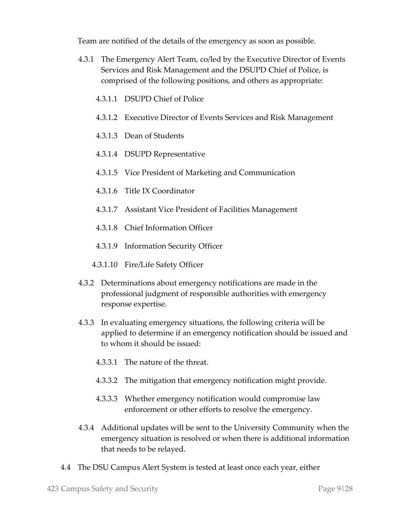Team are notified of the details of the emergency as soon as possible.

- 4.3.1 The Emergency Alert Team, co/led by the Executive Director of Events Services and Risk Management and the DSUPD Chief of Police, is comprised of the following positions, and others as appropriate:
	- 4.3.1.1 DSUPD Chief of Police
	- 4.3.1.2 Executive Director of Events Services and Risk Management
	- 4.3.1.3 Dean of Students
	- 4.3.1.4 DSUPD Representative
	- 4.3.1.5 Vice President of Marketing and Communication
	- 4.3.1.6 Title IX Coordinator
	- 4.3.1.7 Assistant Vice President of Facilities Management
	- 4.3.1.8 Chief Information Officer
	- 4.3.1.9 Information Security Officer
	- 4.3.1.10 Fire/Life Safety Officer
- 4.3.2 Determinations about emergency notifications are made in the professional judgment of responsible authorities with emergency response expertise.
- 4.3.3 In evaluating emergency situations, the following criteria will be applied to determine if an emergency notification should be issued and to whom it should be issued:
	- 4.3.3.1 The nature of the threat.
	- 4.3.3.2 The mitigation that emergency notification might provide.
	- 4.3.3.3 Whether emergency notification would compromise law enforcement or other efforts to resolve the emergency.
- 4.3.4 Additional updates will be sent to the University Community when the emergency situation is resolved or when there is additional information that needs to be relayed.
- 4.4 The DSU Campus Alert System is tested at least once each year, either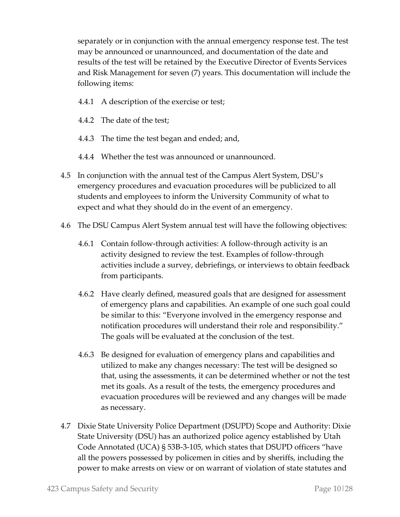separately or in conjunction with the annual emergency response test. The test may be announced or unannounced, and documentation of the date and results of the test will be retained by the Executive Director of Events Services and Risk Management for seven (7) years. This documentation will include the following items:

- 4.4.1 A description of the exercise or test;
- 4.4.2 The date of the test;
- 4.4.3 The time the test began and ended; and,
- 4.4.4 Whether the test was announced or unannounced.
- 4.5 In conjunction with the annual test of the Campus Alert System, DSU's emergency procedures and evacuation procedures will be publicized to all students and employees to inform the University Community of what to expect and what they should do in the event of an emergency.
- 4.6 The DSU Campus Alert System annual test will have the following objectives:
	- 4.6.1 Contain follow-through activities: A follow-through activity is an activity designed to review the test. Examples of follow-through activities include a survey, debriefings, or interviews to obtain feedback from participants.
	- 4.6.2 Have clearly defined, measured goals that are designed for assessment of emergency plans and capabilities. An example of one such goal could be similar to this: "Everyone involved in the emergency response and notification procedures will understand their role and responsibility." The goals will be evaluated at the conclusion of the test.
	- 4.6.3 Be designed for evaluation of emergency plans and capabilities and utilized to make any changes necessary: The test will be designed so that, using the assessments, it can be determined whether or not the test met its goals. As a result of the tests, the emergency procedures and evacuation procedures will be reviewed and any changes will be made as necessary.
- 4.7 Dixie State University Police Department (DSUPD) Scope and Authority: Dixie State University (DSU) has an authorized police agency established by Utah Code Annotated (UCA) § 53B-3-105, which states that DSUPD officers "have all the powers possessed by policemen in cities and by sheriffs, including the power to make arrests on view or on warrant of violation of state statutes and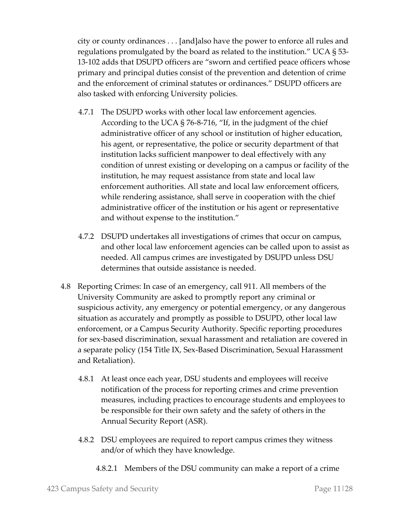city or county ordinances . . . [and]also have the power to enforce all rules and regulations promulgated by the board as related to the institution." UCA § 53- 13-102 adds that DSUPD officers are "sworn and certified peace officers whose primary and principal duties consist of the prevention and detention of crime and the enforcement of criminal statutes or ordinances." DSUPD officers are also tasked with enforcing University policies.

- 4.7.1 The DSUPD works with other local law enforcement agencies. According to the UCA § 76-8-716, "If, in the judgment of the chief administrative officer of any school or institution of higher education, his agent, or representative, the police or security department of that institution lacks sufficient manpower to deal effectively with any condition of unrest existing or developing on a campus or facility of the institution, he may request assistance from state and local law enforcement authorities. All state and local law enforcement officers, while rendering assistance, shall serve in cooperation with the chief administrative officer of the institution or his agent or representative and without expense to the institution."
- 4.7.2 DSUPD undertakes all investigations of crimes that occur on campus, and other local law enforcement agencies can be called upon to assist as needed. All campus crimes are investigated by DSUPD unless DSU determines that outside assistance is needed.
- 4.8 Reporting Crimes: In case of an emergency, call 911. All members of the University Community are asked to promptly report any criminal or suspicious activity, any emergency or potential emergency, or any dangerous situation as accurately and promptly as possible to DSUPD, other local law enforcement, or a Campus Security Authority. Specific reporting procedures for sex-based discrimination, sexual harassment and retaliation are covered in a separate policy (154 Title IX, Sex-Based Discrimination, Sexual Harassment and Retaliation).
	- 4.8.1 At least once each year, DSU students and employees will receive notification of the process for reporting crimes and crime prevention measures, including practices to encourage students and employees to be responsible for their own safety and the safety of others in the Annual Security Report (ASR).
	- 4.8.2 DSU employees are required to report campus crimes they witness and/or of which they have knowledge.
		- 4.8.2.1 Members of the DSU community can make a report of a crime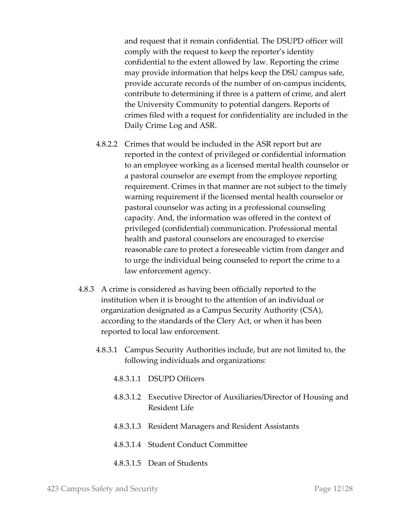and request that it remain confidential. The DSUPD officer will comply with the request to keep the reporter's identity confidential to the extent allowed by law. Reporting the crime may provide information that helps keep the DSU campus safe, provide accurate records of the number of on-campus incidents, contribute to determining if three is a pattern of crime, and alert the University Community to potential dangers. Reports of crimes filed with a request for confidentiality are included in the Daily Crime Log and ASR.

- 4.8.2.2 Crimes that would be included in the ASR report but are reported in the context of privileged or confidential information to an employee working as a licensed mental health counselor or a pastoral counselor are exempt from the employee reporting requirement. Crimes in that manner are not subject to the timely warning requirement if the licensed mental health counselor or pastoral counselor was acting in a professional counseling capacity. And, the information was offered in the context of privileged (confidential) communication. Professional mental health and pastoral counselors are encouraged to exercise reasonable care to protect a foreseeable victim from danger and to urge the individual being counseled to report the crime to a law enforcement agency.
- 4.8.3 A crime is considered as having been officially reported to the institution when it is brought to the attention of an individual or organization designated as a Campus Security Authority (CSA), according to the standards of the Clery Act, or when it has been reported to local law enforcement.
	- 4.8.3.1 Campus Security Authorities include, but are not limited to, the following individuals and organizations:
		- 4.8.3.1.1 DSUPD Officers
		- 4.8.3.1.2 Executive Director of Auxiliaries/Director of Housing and Resident Life
		- 4.8.3.1.3 Resident Managers and Resident Assistants
		- 4.8.3.1.4 Student Conduct Committee
		- 4.8.3.1.5 Dean of Students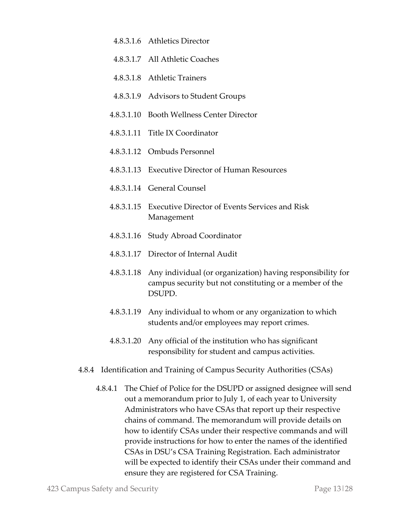- 4.8.3.1.6 Athletics Director
- 4.8.3.1.7 All Athletic Coaches
- 4.8.3.1.8 Athletic Trainers
- 4.8.3.1.9 Advisors to Student Groups
- 4.8.3.1.10 Booth Wellness Center Director
- 4.8.3.1.11 Title IX Coordinator
- 4.8.3.1.12 Ombuds Personnel
- 4.8.3.1.13 Executive Director of Human Resources
- 4.8.3.1.14 General Counsel
- 4.8.3.1.15 Executive Director of Events Services and Risk Management
- 4.8.3.1.16 Study Abroad Coordinator
- 4.8.3.1.17 Director of Internal Audit
- 4.8.3.1.18 Any individual (or organization) having responsibility for campus security but not constituting or a member of the DSUPD.
- 4.8.3.1.19 Any individual to whom or any organization to which students and/or employees may report crimes.
- 4.8.3.1.20 Any official of the institution who has significant responsibility for student and campus activities.
- 4.8.4 Identification and Training of Campus Security Authorities (CSAs)
	- 4.8.4.1 The Chief of Police for the DSUPD or assigned designee will send out a memorandum prior to July 1, of each year to University Administrators who have CSAs that report up their respective chains of command. The memorandum will provide details on how to identify CSAs under their respective commands and will provide instructions for how to enter the names of the identified CSAs in DSU's CSA Training Registration. Each administrator will be expected to identify their CSAs under their command and ensure they are registered for CSA Training.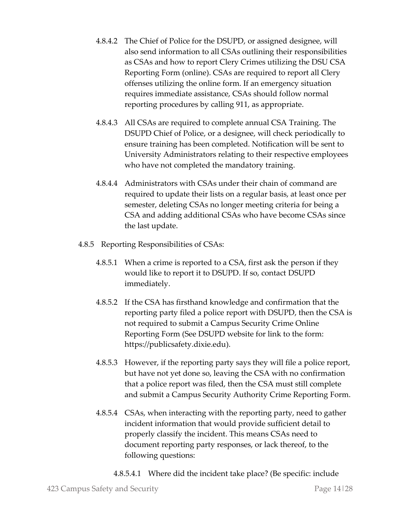- 4.8.4.2 The Chief of Police for the DSUPD, or assigned designee, will also send information to all CSAs outlining their responsibilities as CSAs and how to report Clery Crimes utilizing the DSU CSA Reporting Form (online). CSAs are required to report all Clery offenses utilizing the online form. If an emergency situation requires immediate assistance, CSAs should follow normal reporting procedures by calling 911, as appropriate.
- 4.8.4.3 All CSAs are required to complete annual CSA Training. The DSUPD Chief of Police, or a designee, will check periodically to ensure training has been completed. Notification will be sent to University Administrators relating to their respective employees who have not completed the mandatory training.
- 4.8.4.4 Administrators with CSAs under their chain of command are required to update their lists on a regular basis, at least once per semester, deleting CSAs no longer meeting criteria for being a CSA and adding additional CSAs who have become CSAs since the last update.
- 4.8.5 Reporting Responsibilities of CSAs:
	- 4.8.5.1 When a crime is reported to a CSA, first ask the person if they would like to report it to DSUPD. If so, contact DSUPD immediately.
	- 4.8.5.2 If the CSA has firsthand knowledge and confirmation that the reporting party filed a police report with DSUPD, then the CSA is not required to submit a Campus Security Crime Online Reporting Form (See DSUPD website for link to the form: https://publicsafety.dixie.edu).
	- 4.8.5.3 However, if the reporting party says they will file a police report, but have not yet done so, leaving the CSA with no confirmation that a police report was filed, then the CSA must still complete and submit a Campus Security Authority Crime Reporting Form.
	- 4.8.5.4 CSAs, when interacting with the reporting party, need to gather incident information that would provide sufficient detail to properly classify the incident. This means CSAs need to document reporting party responses, or lack thereof, to the following questions:
		- 4.8.5.4.1 Where did the incident take place? (Be specific: include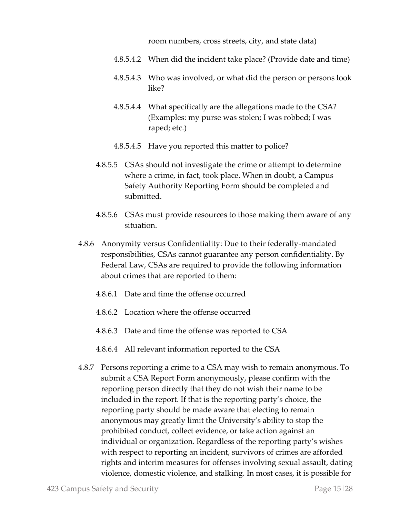room numbers, cross streets, city, and state data)

- 4.8.5.4.2 When did the incident take place? (Provide date and time)
- 4.8.5.4.3 Who was involved, or what did the person or persons look like?
- 4.8.5.4.4 What specifically are the allegations made to the CSA? (Examples: my purse was stolen; I was robbed; I was raped; etc.)
- 4.8.5.4.5 Have you reported this matter to police?
- 4.8.5.5 CSAs should not investigate the crime or attempt to determine where a crime, in fact, took place. When in doubt, a Campus Safety Authority Reporting Form should be completed and submitted.
- 4.8.5.6 CSAs must provide resources to those making them aware of any situation.
- 4.8.6 Anonymity versus Confidentiality: Due to their federally-mandated responsibilities, CSAs cannot guarantee any person confidentiality. By Federal Law, CSAs are required to provide the following information about crimes that are reported to them:
	- 4.8.6.1 Date and time the offense occurred
	- 4.8.6.2 Location where the offense occurred
	- 4.8.6.3 Date and time the offense was reported to CSA
	- 4.8.6.4 All relevant information reported to the CSA
- 4.8.7 Persons reporting a crime to a CSA may wish to remain anonymous. To submit a CSA Report Form anonymously, please confirm with the reporting person directly that they do not wish their name to be included in the report. If that is the reporting party's choice, the reporting party should be made aware that electing to remain anonymous may greatly limit the University's ability to stop the prohibited conduct, collect evidence, or take action against an individual or organization. Regardless of the reporting party's wishes with respect to reporting an incident, survivors of crimes are afforded rights and interim measures for offenses involving sexual assault, dating violence, domestic violence, and stalking. In most cases, it is possible for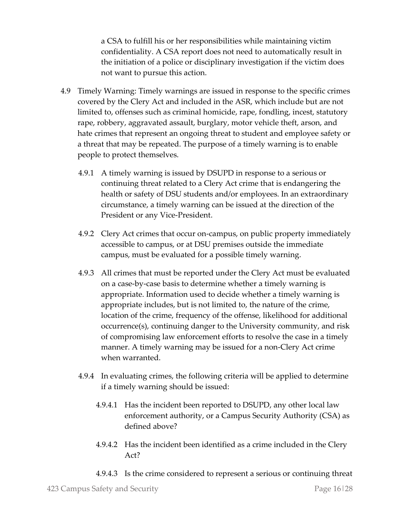a CSA to fulfill his or her responsibilities while maintaining victim confidentiality. A CSA report does not need to automatically result in the initiation of a police or disciplinary investigation if the victim does not want to pursue this action.

- 4.9 Timely Warning: Timely warnings are issued in response to the specific crimes covered by the Clery Act and included in the ASR, which include but are not limited to, offenses such as criminal homicide, rape, fondling, incest, statutory rape, robbery, aggravated assault, burglary, motor vehicle theft, arson, and hate crimes that represent an ongoing threat to student and employee safety or a threat that may be repeated. The purpose of a timely warning is to enable people to protect themselves.
	- 4.9.1 A timely warning is issued by DSUPD in response to a serious or continuing threat related to a Clery Act crime that is endangering the health or safety of DSU students and/or employees. In an extraordinary circumstance, a timely warning can be issued at the direction of the President or any Vice-President.
	- 4.9.2 Clery Act crimes that occur on-campus, on public property immediately accessible to campus, or at DSU premises outside the immediate campus, must be evaluated for a possible timely warning.
	- 4.9.3 All crimes that must be reported under the Clery Act must be evaluated on a case-by-case basis to determine whether a timely warning is appropriate. Information used to decide whether a timely warning is appropriate includes, but is not limited to, the nature of the crime, location of the crime, frequency of the offense, likelihood for additional occurrence(s), continuing danger to the University community, and risk of compromising law enforcement efforts to resolve the case in a timely manner. A timely warning may be issued for a non-Clery Act crime when warranted.
	- 4.9.4 In evaluating crimes, the following criteria will be applied to determine if a timely warning should be issued:
		- 4.9.4.1 Has the incident been reported to DSUPD, any other local law enforcement authority, or a Campus Security Authority (CSA) as defined above?
		- 4.9.4.2 Has the incident been identified as a crime included in the Clery Act?
		- 4.9.4.3 Is the crime considered to represent a serious or continuing threat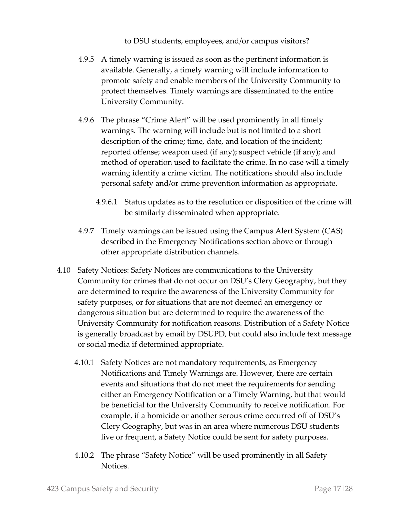to DSU students, employees, and/or campus visitors?

- 4.9.5 A timely warning is issued as soon as the pertinent information is available. Generally, a timely warning will include information to promote safety and enable members of the University Community to protect themselves. Timely warnings are disseminated to the entire University Community.
- 4.9.6 The phrase "Crime Alert" will be used prominently in all timely warnings. The warning will include but is not limited to a short description of the crime; time, date, and location of the incident; reported offense; weapon used (if any); suspect vehicle (if any); and method of operation used to facilitate the crime. In no case will a timely warning identify a crime victim. The notifications should also include personal safety and/or crime prevention information as appropriate.
	- 4.9.6.1 Status updates as to the resolution or disposition of the crime will be similarly disseminated when appropriate.
- 4.9.7 Timely warnings can be issued using the Campus Alert System (CAS) described in the Emergency Notifications section above or through other appropriate distribution channels.
- 4.10 Safety Notices: Safety Notices are communications to the University Community for crimes that do not occur on DSU's Clery Geography, but they are determined to require the awareness of the University Community for safety purposes, or for situations that are not deemed an emergency or dangerous situation but are determined to require the awareness of the University Community for notification reasons. Distribution of a Safety Notice is generally broadcast by email by DSUPD, but could also include text message or social media if determined appropriate.
	- 4.10.1 Safety Notices are not mandatory requirements, as Emergency Notifications and Timely Warnings are. However, there are certain events and situations that do not meet the requirements for sending either an Emergency Notification or a Timely Warning, but that would be beneficial for the University Community to receive notification. For example, if a homicide or another serous crime occurred off of DSU's Clery Geography, but was in an area where numerous DSU students live or frequent, a Safety Notice could be sent for safety purposes.
	- 4.10.2 The phrase "Safety Notice" will be used prominently in all Safety Notices.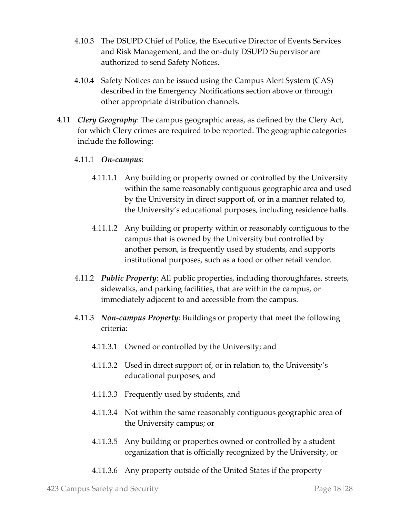- 4.10.3 The DSUPD Chief of Police, the Executive Director of Events Services and Risk Management, and the on-duty DSUPD Supervisor are authorized to send Safety Notices.
- 4.10.4 Safety Notices can be issued using the Campus Alert System (CAS) described in the Emergency Notifications section above or through other appropriate distribution channels.
- 4.11 *Clery Geography*: The campus geographic areas, as defined by the Clery Act, for which Clery crimes are required to be reported. The geographic categories include the following:

### 4.11.1 *On-campus*:

- 4.11.1.1 Any building or property owned or controlled by the University within the same reasonably contiguous geographic area and used by the University in direct support of, or in a manner related to, the University's educational purposes, including residence halls.
- 4.11.1.2 Any building or property within or reasonably contiguous to the campus that is owned by the University but controlled by another person, is frequently used by students, and supports institutional purposes, such as a food or other retail vendor.
- 4.11.2 *Public Property*: All public properties, including thoroughfares, streets, sidewalks, and parking facilities, that are within the campus, or immediately adjacent to and accessible from the campus.
- 4.11.3 *Non-campus Property*: Buildings or property that meet the following criteria:
	- 4.11.3.1 Owned or controlled by the University; and
	- 4.11.3.2 Used in direct support of, or in relation to, the University's educational purposes, and
	- 4.11.3.3 Frequently used by students, and
	- 4.11.3.4 Not within the same reasonably contiguous geographic area of the University campus; or
	- 4.11.3.5 Any building or properties owned or controlled by a student organization that is officially recognized by the University, or
	- 4.11.3.6 Any property outside of the United States if the property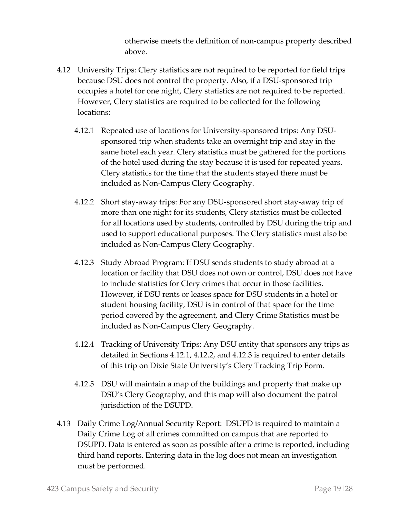otherwise meets the definition of non-campus property described above.

- 4.12 University Trips: Clery statistics are not required to be reported for field trips because DSU does not control the property. Also, if a DSU-sponsored trip occupies a hotel for one night, Clery statistics are not required to be reported. However, Clery statistics are required to be collected for the following locations:
	- 4.12.1 Repeated use of locations for University-sponsored trips: Any DSUsponsored trip when students take an overnight trip and stay in the same hotel each year. Clery statistics must be gathered for the portions of the hotel used during the stay because it is used for repeated years. Clery statistics for the time that the students stayed there must be included as Non-Campus Clery Geography.
	- 4.12.2 Short stay-away trips: For any DSU-sponsored short stay-away trip of more than one night for its students, Clery statistics must be collected for all locations used by students, controlled by DSU during the trip and used to support educational purposes. The Clery statistics must also be included as Non-Campus Clery Geography.
	- 4.12.3 Study Abroad Program: If DSU sends students to study abroad at a location or facility that DSU does not own or control, DSU does not have to include statistics for Clery crimes that occur in those facilities. However, if DSU rents or leases space for DSU students in a hotel or student housing facility, DSU is in control of that space for the time period covered by the agreement, and Clery Crime Statistics must be included as Non-Campus Clery Geography.
	- 4.12.4 Tracking of University Trips: Any DSU entity that sponsors any trips as detailed in Sections 4.12.1, 4.12.2, and 4.12.3 is required to enter details of this trip on Dixie State University's Clery Tracking Trip Form.
	- 4.12.5 DSU will maintain a map of the buildings and property that make up DSU's Clery Geography, and this map will also document the patrol jurisdiction of the DSUPD.
- 4.13 Daily Crime Log/Annual Security Report: DSUPD is required to maintain a Daily Crime Log of all crimes committed on campus that are reported to DSUPD. Data is entered as soon as possible after a crime is reported, including third hand reports. Entering data in the log does not mean an investigation must be performed.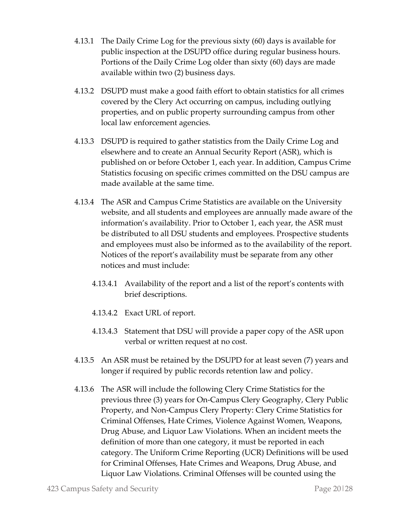- 4.13.1 The Daily Crime Log for the previous sixty (60) days is available for public inspection at the DSUPD office during regular business hours. Portions of the Daily Crime Log older than sixty (60) days are made available within two (2) business days.
- 4.13.2 DSUPD must make a good faith effort to obtain statistics for all crimes covered by the Clery Act occurring on campus, including outlying properties, and on public property surrounding campus from other local law enforcement agencies.
- 4.13.3 DSUPD is required to gather statistics from the Daily Crime Log and elsewhere and to create an Annual Security Report (ASR), which is published on or before October 1, each year. In addition, Campus Crime Statistics focusing on specific crimes committed on the DSU campus are made available at the same time.
- 4.13.4 The ASR and Campus Crime Statistics are available on the University website, and all students and employees are annually made aware of the information's availability. Prior to October 1, each year, the ASR must be distributed to all DSU students and employees. Prospective students and employees must also be informed as to the availability of the report. Notices of the report's availability must be separate from any other notices and must include:
	- 4.13.4.1 Availability of the report and a list of the report's contents with brief descriptions.
	- 4.13.4.2 Exact URL of report.
	- 4.13.4.3 Statement that DSU will provide a paper copy of the ASR upon verbal or written request at no cost.
- 4.13.5 An ASR must be retained by the DSUPD for at least seven (7) years and longer if required by public records retention law and policy.
- 4.13.6 The ASR will include the following Clery Crime Statistics for the previous three (3) years for On-Campus Clery Geography, Clery Public Property, and Non-Campus Clery Property: Clery Crime Statistics for Criminal Offenses, Hate Crimes, Violence Against Women, Weapons, Drug Abuse, and Liquor Law Violations. When an incident meets the definition of more than one category, it must be reported in each category. The Uniform Crime Reporting (UCR) Definitions will be used for Criminal Offenses, Hate Crimes and Weapons, Drug Abuse, and Liquor Law Violations. Criminal Offenses will be counted using the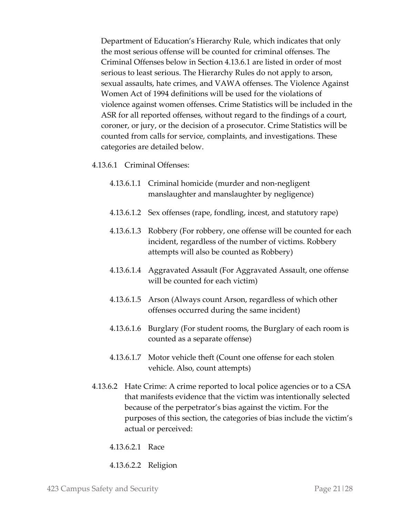Department of Education's Hierarchy Rule, which indicates that only the most serious offense will be counted for criminal offenses. The Criminal Offenses below in Section 4.13.6.1 are listed in order of most serious to least serious. The Hierarchy Rules do not apply to arson, sexual assaults, hate crimes, and VAWA offenses. The Violence Against Women Act of 1994 definitions will be used for the violations of violence against women offenses. Crime Statistics will be included in the ASR for all reported offenses, without regard to the findings of a court, coroner, or jury, or the decision of a prosecutor. Crime Statistics will be counted from calls for service, complaints, and investigations. These categories are detailed below.

#### 4.13.6.1 Criminal Offenses:

- 4.13.6.1.1 Criminal homicide (murder and non-negligent manslaughter and manslaughter by negligence)
- 4.13.6.1.2 Sex offenses (rape, fondling, incest, and statutory rape)
- 4.13.6.1.3 Robbery (For robbery, one offense will be counted for each incident, regardless of the number of victims. Robbery attempts will also be counted as Robbery)
- 4.13.6.1.4 Aggravated Assault (For Aggravated Assault, one offense will be counted for each victim)
- 4.13.6.1.5 Arson (Always count Arson, regardless of which other offenses occurred during the same incident)
- 4.13.6.1.6 Burglary (For student rooms, the Burglary of each room is counted as a separate offense)
- 4.13.6.1.7 Motor vehicle theft (Count one offense for each stolen vehicle. Also, count attempts)
- 4.13.6.2 Hate Crime: A crime reported to local police agencies or to a CSA that manifests evidence that the victim was intentionally selected because of the perpetrator's bias against the victim. For the purposes of this section, the categories of bias include the victim's actual or perceived:
	- 4.13.6.2.1 Race
	- 4.13.6.2.2 Religion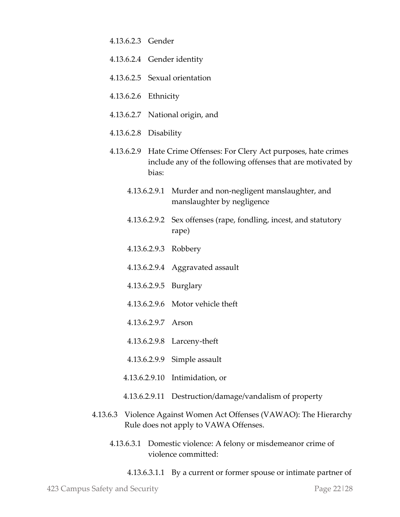| 4.13.6.2.3 Gender                                                                                            |                                                                                                                                             |                                                                                       |
|--------------------------------------------------------------------------------------------------------------|---------------------------------------------------------------------------------------------------------------------------------------------|---------------------------------------------------------------------------------------|
|                                                                                                              | 4.13.6.2.4 Gender identity                                                                                                                  |                                                                                       |
|                                                                                                              | 4.13.6.2.5 Sexual orientation                                                                                                               |                                                                                       |
| 4.13.6.2.6 Ethnicity                                                                                         |                                                                                                                                             |                                                                                       |
|                                                                                                              | 4.13.6.2.7 National origin, and                                                                                                             |                                                                                       |
|                                                                                                              | 4.13.6.2.8 Disability                                                                                                                       |                                                                                       |
|                                                                                                              | 4.13.6.2.9 Hate Crime Offenses: For Clery Act purposes, hate crimes<br>include any of the following offenses that are motivated by<br>bias: |                                                                                       |
|                                                                                                              |                                                                                                                                             | 4.13.6.2.9.1 Murder and non-negligent manslaughter, and<br>manslaughter by negligence |
|                                                                                                              |                                                                                                                                             | 4.13.6.2.9.2 Sex offenses (rape, fondling, incest, and statutory<br>rape)             |
|                                                                                                              |                                                                                                                                             | 4.13.6.2.9.3 Robbery                                                                  |
|                                                                                                              |                                                                                                                                             | 4.13.6.2.9.4 Aggravated assault                                                       |
|                                                                                                              |                                                                                                                                             | 4.13.6.2.9.5 Burglary                                                                 |
|                                                                                                              |                                                                                                                                             | 4.13.6.2.9.6 Motor vehicle theft                                                      |
|                                                                                                              |                                                                                                                                             | 4.13.6.2.9.7 Arson                                                                    |
|                                                                                                              |                                                                                                                                             | 4.13.6.2.9.8 Larceny-theft                                                            |
|                                                                                                              |                                                                                                                                             | 4.13.6.2.9.9 Simple assault                                                           |
|                                                                                                              |                                                                                                                                             | 4.13.6.2.9.10 Intimidation, or                                                        |
| 4.13.6.2.9.11                                                                                                |                                                                                                                                             | Destruction/damage/vandalism of property                                              |
| 4.13.6.3 Violence Against Women Act Offenses (VAWAO): The Hierarchy<br>Rule does not apply to VAWA Offenses. |                                                                                                                                             |                                                                                       |
| 4.13.6.3.1 Domestic violence: A felony or misdemeanor crime of<br>violence committed:                        |                                                                                                                                             |                                                                                       |

4.13.6.3.1.1 By a current or former spouse or intimate partner of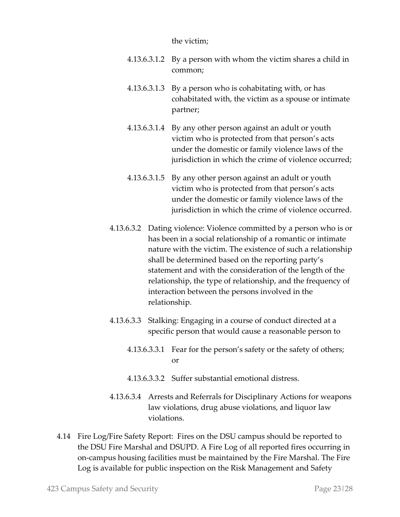#### the victim;

- 4.13.6.3.1.2 By a person with whom the victim shares a child in common;
- 4.13.6.3.1.3 By a person who is cohabitating with, or has cohabitated with, the victim as a spouse or intimate partner;
- 4.13.6.3.1.4 By any other person against an adult or youth victim who is protected from that person's acts under the domestic or family violence laws of the jurisdiction in which the crime of violence occurred;
- 4.13.6.3.1.5 By any other person against an adult or youth victim who is protected from that person's acts under the domestic or family violence laws of the jurisdiction in which the crime of violence occurred.
- 4.13.6.3.2 Dating violence: Violence committed by a person who is or has been in a social relationship of a romantic or intimate nature with the victim. The existence of such a relationship shall be determined based on the reporting party's statement and with the consideration of the length of the relationship, the type of relationship, and the frequency of interaction between the persons involved in the relationship.
- 4.13.6.3.3 Stalking: Engaging in a course of conduct directed at a specific person that would cause a reasonable person to
	- 4.13.6.3.3.1 Fear for the person's safety or the safety of others; or
	- 4.13.6.3.3.2 Suffer substantial emotional distress.
- 4.13.6.3.4 Arrests and Referrals for Disciplinary Actions for weapons law violations, drug abuse violations, and liquor law violations.
- 4.14 Fire Log/Fire Safety Report: Fires on the DSU campus should be reported to the DSU Fire Marshal and DSUPD. A Fire Log of all reported fires occurring in on-campus housing facilities must be maintained by the Fire Marshal. The Fire Log is available for public inspection on the Risk Management and Safety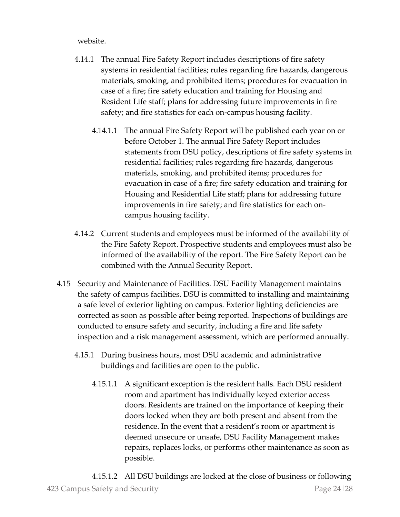website.

- 4.14.1 The annual Fire Safety Report includes descriptions of fire safety systems in residential facilities; rules regarding fire hazards, dangerous materials, smoking, and prohibited items; procedures for evacuation in case of a fire; fire safety education and training for Housing and Resident Life staff; plans for addressing future improvements in fire safety; and fire statistics for each on-campus housing facility.
	- 4.14.1.1 The annual Fire Safety Report will be published each year on or before October 1. The annual Fire Safety Report includes statements from DSU policy, descriptions of fire safety systems in residential facilities; rules regarding fire hazards, dangerous materials, smoking, and prohibited items; procedures for evacuation in case of a fire; fire safety education and training for Housing and Residential Life staff; plans for addressing future improvements in fire safety; and fire statistics for each oncampus housing facility.
- 4.14.2 Current students and employees must be informed of the availability of the Fire Safety Report. Prospective students and employees must also be informed of the availability of the report. The Fire Safety Report can be combined with the Annual Security Report.
- 4.15 Security and Maintenance of Facilities. DSU Facility Management maintains the safety of campus facilities. DSU is committed to installing and maintaining a safe level of exterior lighting on campus. Exterior lighting deficiencies are corrected as soon as possible after being reported. Inspections of buildings are conducted to ensure safety and security, including a fire and life safety inspection and a risk management assessment, which are performed annually.
	- 4.15.1 During business hours, most DSU academic and administrative buildings and facilities are open to the public.
		- 4.15.1.1 A significant exception is the resident halls. Each DSU resident room and apartment has individually keyed exterior access doors. Residents are trained on the importance of keeping their doors locked when they are both present and absent from the residence. In the event that a resident's room or apartment is deemed unsecure or unsafe, DSU Facility Management makes repairs, replaces locks, or performs other maintenance as soon as possible.

423 Campus Safety and Security Page 24|28 4.15.1.2 All DSU buildings are locked at the close of business or following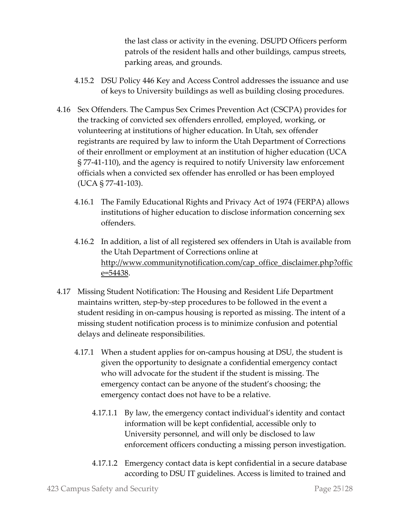the last class or activity in the evening. DSUPD Officers perform patrols of the resident halls and other buildings, campus streets, parking areas, and grounds.

- 4.15.2 DSU Policy 446 Key and Access Control addresses the issuance and use of keys to University buildings as well as building closing procedures.
- 4.16 Sex Offenders. The Campus Sex Crimes Prevention Act (CSCPA) provides for the tracking of convicted sex offenders enrolled, employed, working, or volunteering at institutions of higher education. In Utah, sex offender registrants are required by law to inform the Utah Department of Corrections of their enrollment or employment at an institution of higher education (UCA § 77-41-110), and the agency is required to notify University law enforcement officials when a convicted sex offender has enrolled or has been employed (UCA § 77-41-103).
	- 4.16.1 The Family Educational Rights and Privacy Act of 1974 (FERPA) allows institutions of higher education to disclose information concerning sex offenders.
	- 4.16.2 In addition, a list of all registered sex offenders in Utah is available from the Utah Department of Corrections online at [http://www.communitynotification.com/cap\\_office\\_disclaimer.php?offic](http://www.communitynotification.com/cap_office_disclaimer.php?office=54438) [e=54438.](http://www.communitynotification.com/cap_office_disclaimer.php?office=54438)
- 4.17 Missing Student Notification: The Housing and Resident Life Department maintains written, step-by-step procedures to be followed in the event a student residing in on-campus housing is reported as missing. The intent of a missing student notification process is to minimize confusion and potential delays and delineate responsibilities.
	- 4.17.1 When a student applies for on-campus housing at DSU, the student is given the opportunity to designate a confidential emergency contact who will advocate for the student if the student is missing. The emergency contact can be anyone of the student's choosing; the emergency contact does not have to be a relative.
		- 4.17.1.1 By law, the emergency contact individual's identity and contact information will be kept confidential, accessible only to University personnel, and will only be disclosed to law enforcement officers conducting a missing person investigation.
		- 4.17.1.2 Emergency contact data is kept confidential in a secure database according to DSU IT guidelines. Access is limited to trained and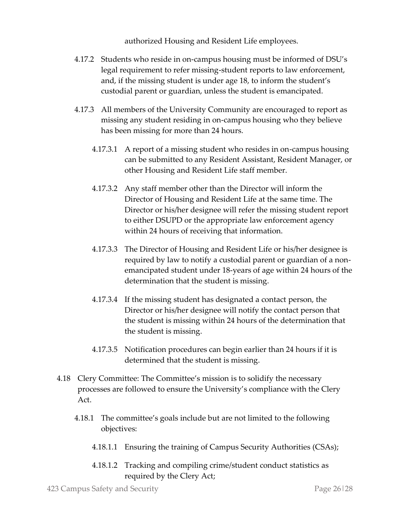authorized Housing and Resident Life employees.

- 4.17.2 Students who reside in on-campus housing must be informed of DSU's legal requirement to refer missing-student reports to law enforcement, and, if the missing student is under age 18, to inform the student's custodial parent or guardian, unless the student is emancipated.
- 4.17.3 All members of the University Community are encouraged to report as missing any student residing in on-campus housing who they believe has been missing for more than 24 hours.
	- 4.17.3.1 A report of a missing student who resides in on-campus housing can be submitted to any Resident Assistant, Resident Manager, or other Housing and Resident Life staff member.
	- 4.17.3.2 Any staff member other than the Director will inform the Director of Housing and Resident Life at the same time. The Director or his/her designee will refer the missing student report to either DSUPD or the appropriate law enforcement agency within 24 hours of receiving that information.
	- 4.17.3.3 The Director of Housing and Resident Life or his/her designee is required by law to notify a custodial parent or guardian of a nonemancipated student under 18-years of age within 24 hours of the determination that the student is missing.
	- 4.17.3.4 If the missing student has designated a contact person, the Director or his/her designee will notify the contact person that the student is missing within 24 hours of the determination that the student is missing.
	- 4.17.3.5 Notification procedures can begin earlier than 24 hours if it is determined that the student is missing.
- 4.18 Clery Committee: The Committee's mission is to solidify the necessary processes are followed to ensure the University's compliance with the Clery Act.
	- 4.18.1 The committee's goals include but are not limited to the following objectives:
		- 4.18.1.1 Ensuring the training of Campus Security Authorities (CSAs);
		- 4.18.1.2 Tracking and compiling crime/student conduct statistics as required by the Clery Act;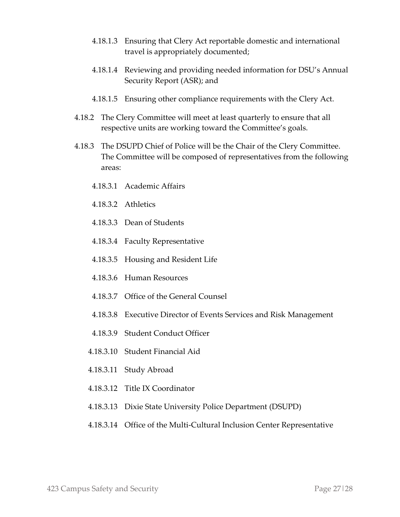- 4.18.1.3 Ensuring that Clery Act reportable domestic and international travel is appropriately documented;
- 4.18.1.4 Reviewing and providing needed information for DSU's Annual Security Report (ASR); and
- 4.18.1.5 Ensuring other compliance requirements with the Clery Act.
- 4.18.2 The Clery Committee will meet at least quarterly to ensure that all respective units are working toward the Committee's goals.
- 4.18.3 The DSUPD Chief of Police will be the Chair of the Clery Committee. The Committee will be composed of representatives from the following areas:
	- 4.18.3.1 Academic Affairs
	- 4.18.3.2 Athletics
	- 4.18.3.3 Dean of Students
	- 4.18.3.4 Faculty Representative
	- 4.18.3.5 Housing and Resident Life
	- 4.18.3.6 Human Resources
	- 4.18.3.7 Office of the General Counsel
	- 4.18.3.8 Executive Director of Events Services and Risk Management
	- 4.18.3.9 Student Conduct Officer
	- 4.18.3.10 Student Financial Aid
	- 4.18.3.11 Study Abroad
	- 4.18.3.12 Title IX Coordinator
	- 4.18.3.13 Dixie State University Police Department (DSUPD)
	- 4.18.3.14 Office of the Multi-Cultural Inclusion Center Representative